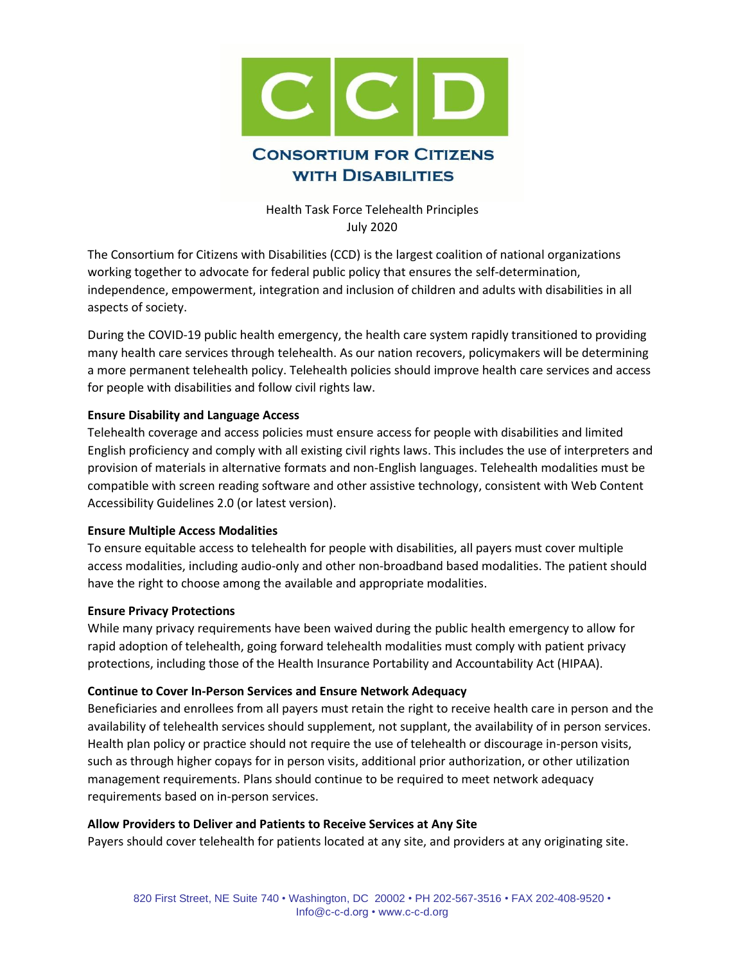

Health Task Force Telehealth Principles July 2020

The Consortium for Citizens with Disabilities (CCD) is the largest coalition of national organizations working together to advocate for federal public policy that ensures the self-determination, independence, empowerment, integration and inclusion of children and adults with disabilities in all aspects of society.

During the COVID-19 public health emergency, the health care system rapidly transitioned to providing many health care services through telehealth. As our nation recovers, policymakers will be determining a more permanent telehealth policy. Telehealth policies should improve health care services and access for people with disabilities and follow civil rights law.

# **Ensure Disability and Language Access**

Telehealth coverage and access policies must ensure access for people with disabilities and limited English proficiency and comply with all existing civil rights laws. This includes the use of interpreters and provision of materials in alternative formats and non-English languages. Telehealth modalities must be compatible with screen reading software and other assistive technology, consistent with Web Content Accessibility Guidelines 2.0 (or latest version).

## **Ensure Multiple Access Modalities**

To ensure equitable access to telehealth for people with disabilities, all payers must cover multiple access modalities, including audio-only and other non-broadband based modalities. The patient should have the right to choose among the available and appropriate modalities.

## **Ensure Privacy Protections**

While many privacy requirements have been waived during the public health emergency to allow for rapid adoption of telehealth, going forward telehealth modalities must comply with patient privacy protections, including those of the Health Insurance Portability and Accountability Act (HIPAA).

## **Continue to Cover In-Person Services and Ensure Network Adequacy**

Beneficiaries and enrollees from all payers must retain the right to receive health care in person and the availability of telehealth services should supplement, not supplant, the availability of in person services. Health plan policy or practice should not require the use of telehealth or discourage in-person visits, such as through higher copays for in person visits, additional prior authorization, or other utilization management requirements. Plans should continue to be required to meet network adequacy requirements based on in-person services.

## **Allow Providers to Deliver and Patients to Receive Services at Any Site**

Payers should cover telehealth for patients located at any site, and providers at any originating site.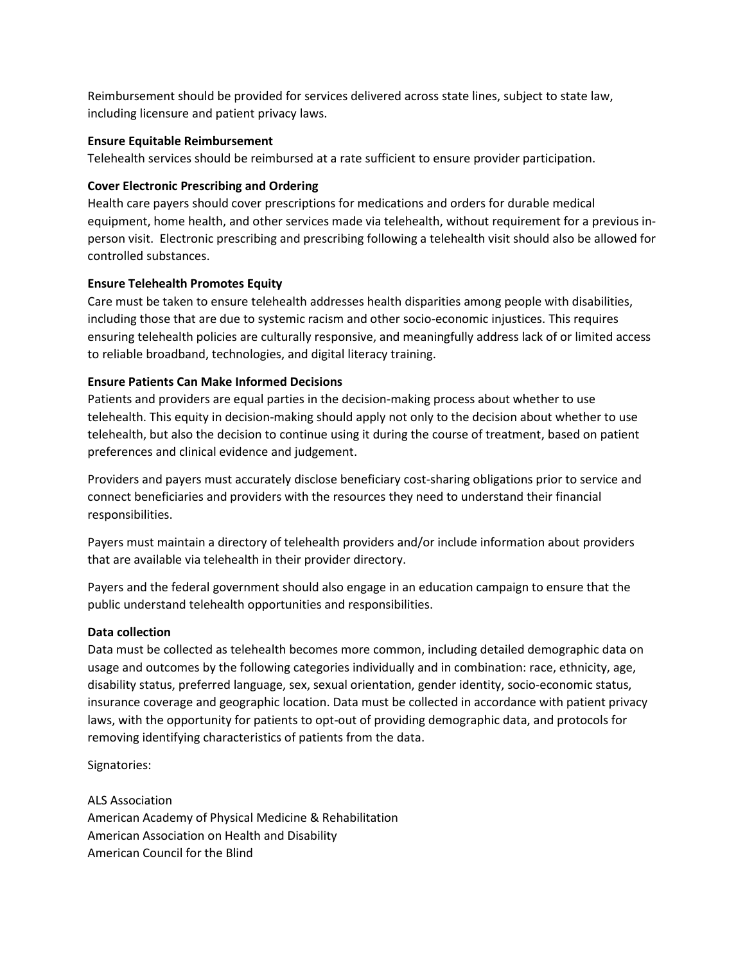Reimbursement should be provided for services delivered across state lines, subject to state law, including licensure and patient privacy laws.

## **Ensure Equitable Reimbursement**

Telehealth services should be reimbursed at a rate sufficient to ensure provider participation.

#### **Cover Electronic Prescribing and Ordering**

Health care payers should cover prescriptions for medications and orders for durable medical equipment, home health, and other services made via telehealth, without requirement for a previous inperson visit. Electronic prescribing and prescribing following a telehealth visit should also be allowed for controlled substances.

#### **Ensure Telehealth Promotes Equity**

Care must be taken to ensure telehealth addresses health disparities among people with disabilities, including those that are due to systemic racism and other socio-economic injustices. This requires ensuring telehealth policies are culturally responsive, and meaningfully address lack of or limited access to reliable broadband, technologies, and digital literacy training.

#### **Ensure Patients Can Make Informed Decisions**

Patients and providers are equal parties in the decision-making process about whether to use telehealth. This equity in decision-making should apply not only to the decision about whether to use telehealth, but also the decision to continue using it during the course of treatment, based on patient preferences and clinical evidence and judgement.

Providers and payers must accurately disclose beneficiary cost-sharing obligations prior to service and connect beneficiaries and providers with the resources they need to understand their financial responsibilities.

Payers must maintain a directory of telehealth providers and/or include information about providers that are available via telehealth in their provider directory.

Payers and the federal government should also engage in an education campaign to ensure that the public understand telehealth opportunities and responsibilities.

#### **Data collection**

Data must be collected as telehealth becomes more common, including detailed demographic data on usage and outcomes by the following categories individually and in combination: race, ethnicity, age, disability status, preferred language, sex, sexual orientation, gender identity, socio-economic status, insurance coverage and geographic location. Data must be collected in accordance with patient privacy laws, with the opportunity for patients to opt-out of providing demographic data, and protocols for removing identifying characteristics of patients from the data.

Signatories:

ALS Association American Academy of Physical Medicine & Rehabilitation American Association on Health and Disability American Council for the Blind